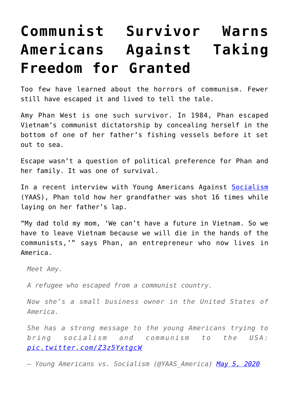## **[Communist Survivor Warns](https://intellectualtakeout.org/2020/05/communist-survivor-warns-americans-against-taking-freedom-for-granted/) [Americans Against Taking](https://intellectualtakeout.org/2020/05/communist-survivor-warns-americans-against-taking-freedom-for-granted/) [Freedom for Granted](https://intellectualtakeout.org/2020/05/communist-survivor-warns-americans-against-taking-freedom-for-granted/)**

Too few have learned about the horrors of communism. Fewer still have escaped it and lived to tell the tale.

Amy Phan West is one such survivor. In 1984, Phan escaped Vietnam's communist dictatorship by concealing herself in the bottom of one of her father's fishing vessels before it set out to sea.

Escape wasn't a question of political preference for Phan and her family. It was one of survival.

In a recent interview with Young Americans Against [Socialism](https://fee.org/resources/the-xyz-s-of-socialism/) (YAAS), Phan told how her grandfather was shot 16 times while laying on her father's lap.

"My dad told my mom, 'We can't have a future in Vietnam. So we have to leave Vietnam because we will die in the hands of the communists,'" says Phan, an entrepreneur who now lives in America.

*Meet Amy.*

*A refugee who escaped from a communist country.*

*Now she's a small business owner in the United States of America.*

*She has a strong message to the young Americans trying to bring socialism and communism to the USA: [pic.twitter.com/Z3z5YxtgcW](https://t.co/Z3z5YxtgcW)*

*— Young Americans vs. Socialism (@YAAS\_America) [May 5, 2020](https://twitter.com/YAAS_America/status/1257662875155542017?ref_src=twsrc%5Etfw)*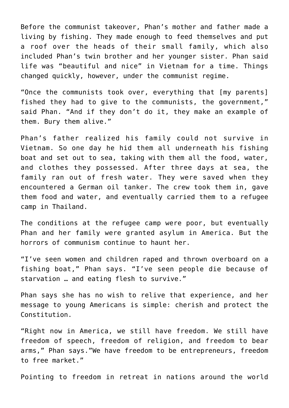Before the communist takeover, Phan's mother and father made a living by fishing. They made enough to feed themselves and put a roof over the heads of their small family, which also included Phan's twin brother and her younger sister. Phan said life was "beautiful and nice" in Vietnam for a time. Things changed quickly, however, under the communist regime.

"Once the communists took over, everything that [my parents] fished they had to give to the communists, the government," said Phan. "And if they don't do it, they make an example of them. Bury them alive."

Phan's father realized his family could not survive in Vietnam. So one day he hid them all underneath his fishing boat and set out to sea, taking with them all the food, water, and clothes they possessed. After three days at sea, the family ran out of fresh water. They were saved when they encountered a German oil tanker. The crew took them in, gave them food and water, and eventually carried them to a refugee camp in Thailand.

The conditions at the refugee camp were poor, but eventually Phan and her family were granted asylum in America. But the horrors of communism continue to haunt her.

"I've seen women and children raped and thrown overboard on a fishing boat," Phan says. "I've seen people die because of starvation … and eating flesh to survive."

Phan says she has no wish to relive that experience, and her message to young Americans is simple: cherish and protect the Constitution.

"Right now in America, we still have freedom. We still have freedom of speech, freedom of religion, and freedom to bear arms," Phan says."We have freedom to be entrepreneurs, freedom to free market."

Pointing to freedom in retreat in nations around the world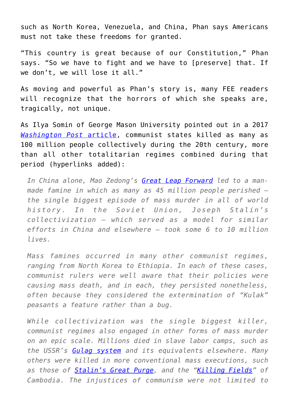such as North Korea, Venezuela, and China, Phan says Americans must not take these freedoms for granted.

"This country is great because of our Constitution," Phan says. "So we have to fight and we have to [preserve] that. If we don't, we will lose it all."

As moving and powerful as Phan's story is, many FEE readers will recognize that the horrors of which she speaks are, tragically, not unique.

As Ilya Somin of George Mason University pointed out in a 2017 *[Washington Post](https://www.washingtonpost.com/news/volokh-conspiracy/wp/2017/11/07/lessons-from-a-century-of-communism/)* [article](https://www.washingtonpost.com/news/volokh-conspiracy/wp/2017/11/07/lessons-from-a-century-of-communism/), communist states killed as many as 100 million people collectively during the 20th century, more than all other totalitarian regimes combined during that period (hyperlinks added):

*In China alone, Mao Zedong's [Great Leap Forward](https://fee.org/articles/the-great-escape-and-the-great-leap-forward/) led to a manmade famine in which as many as 45 million people perished – the single biggest episode of mass murder in all of world history. In the Soviet Union, Joseph Stalin's collectivization – which served as a model for similar efforts in China and elsewhere – took some 6 to 10 million lives.*

*Mass famines occurred in many other communist regimes, ranging from North Korea to Ethiopia. In each of these cases, communist rulers were well aware that their policies were causing mass death, and in each, they persisted nonetheless, often because they considered the extermination of "Kulak" peasants a feature rather than a bug.*

*While collectivization was the single biggest killer, communist regimes also engaged in other forms of mass murder on an epic scale. Millions died in slave labor camps, such as the USSR's [Gulag system](https://fee.org/articles/the-economic-necessity-of-alexander-solzhenitsyn/) and its equivalents elsewhere. Many others were killed in more conventional mass executions, such as those of [Stalin's Great Purge,](https://fee.org/articles/stalins-purges-were-about-more-than-a-personality-cult/) and the ["Killing Fields](https://fee.org/articles/visiting-the-killing-fields/)" of Cambodia. The injustices of communism were not limited to*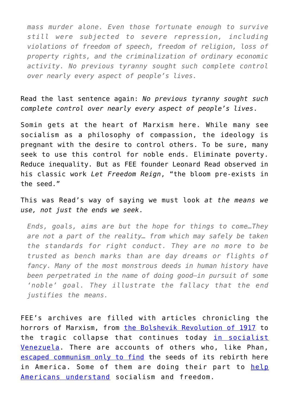*mass murder alone. Even those fortunate enough to survive still were subjected to severe repression, including violations of freedom of speech, freedom of religion, loss of property rights, and the criminalization of ordinary economic activity. No previous tyranny sought such complete control over nearly every aspect of people's lives.*

Read the last sentence again: *No previous tyranny sought such complete control over nearly every aspect of people's lives*.

Somin gets at the heart of Marxism here. While many see socialism as a philosophy of compassion, the ideology is pregnant with the desire to control others. To be sure, many seek to use this control for noble ends. Eliminate poverty. Reduce inequality. But as FEE founder Leonard Read observed in his classic work *Let Freedom Reign*, "the bloom pre-exists in the seed."

This was Read's way of saying we must look *at the means we use, not just the ends we seek*.

*Ends, goals, aims are but the hope for things to come…They are not a part of the reality… from which may safely be taken the standards for right conduct. They are no more to be trusted as bench marks than are day dreams or flights of fancy. Many of the most monstrous deeds in human history have been perpetrated in the name of doing good—in pursuit of some 'noble' goal. They illustrate the fallacy that the end justifies the means.*

FEE's archives are filled with articles chronicling the horrors of Marxism, from [the Bolshevik Revolution of 1917](https://fee.org/articles/the-staggering-toll-of-the-russian-revolution/) to the tragic collapse that continues today [in socialist](https://fee.org/articles/8-industries-hugo-chavez-nationalized-besides-oil-on-venezuelas-road-to-serfdom/) [Venezuela](https://fee.org/articles/8-industries-hugo-chavez-nationalized-besides-oil-on-venezuelas-road-to-serfdom/). There are accounts of others who, like Phan, [escaped communism only to find](https://fee.org/articles/my-family-fled-communism-when-i-was-6-now-we-fear-our-nightmare-has-followed-us-here/) the seeds of its rebirth here in America. Some of them are doing their part to [help](https://fee.org/articles/my-family-fled-communism-when-i-was-6-now-we-fear-our-nightmare-has-followed-us-here/) [Americans understand](https://fee.org/articles/my-family-fled-communism-when-i-was-6-now-we-fear-our-nightmare-has-followed-us-here/) socialism and freedom.